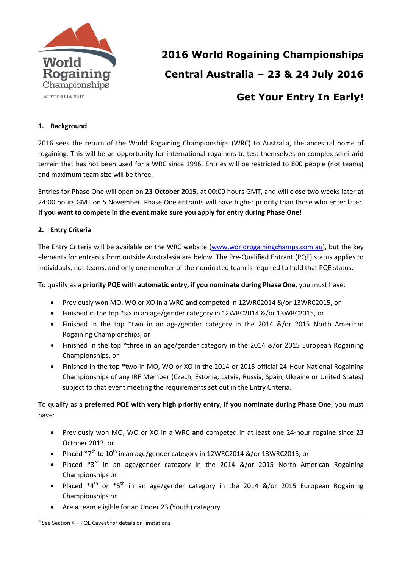

# **2016 World Rogaining Championships Central Australia – 23 & 24 July 2016 Get Your Entry In Early!**

## **1. Background**

2016 sees the return of the World Rogaining Championships (WRC) to Australia, the ancestral home of rogaining. This will be an opportunity for international rogainers to test themselves on complex semi-arid terrain that has not been used for a WRC since 1996. Entries will be restricted to 800 people (not teams) and maximum team size will be three.

Entries for Phase One will open on **23 October 2015**, at 00:00 hours GMT, and will close two weeks later at 24:00 hours GMT on 5 November. Phase One entrants will have higher priority than those who enter later. **If you want to compete in the event make sure you apply for entry during Phase One!**

#### **2. Entry Criteria**

The Entry Criteria will be available on the WRC website [\(www.worldrogainingchamps.com.au\)](http://www.worldrogainingchamps.com.au/), but the key elements for entrants from outside Australasia are below. The Pre-Qualified Entrant (PQE) status applies to individuals, not teams, and only one member of the nominated team is required to hold that PQE status.

To qualify as a **priority PQE with automatic entry, if you nominate during Phase One,** you must have:

- Previously won MO, WO or XO in a WRC **and** competed in 12WRC2014 &/or 13WRC2015, or
- Finished in the top \*six in an age/gender category in 12WRC2014 &/or 13WRC2015, or
- Finished in the top \*two in an age/gender category in the 2014 &/or 2015 North American Rogaining Championships, or
- Finished in the top \*three in an age/gender category in the 2014 &/or 2015 European Rogaining Championships, or
- Finished in the top \*two in MO, WO or XO in the 2014 or 2015 official 24-Hour National Rogaining Championships of any IRF Member (Czech, Estonia, Latvia, Russia, Spain, Ukraine or United States) subject to that event meeting the requirements set out in the Entry Criteria.

To qualify as a **preferred PQE with very high priority entry, if you nominate during Phase One**, you must have:

- Previously won MO, WO or XO in a WRC **and** competed in at least one 24-hour rogaine since 23 October 2013, or
- Placed  $*7<sup>th</sup>$  to 10<sup>th</sup> in an age/gender category in 12WRC2014 &/or 13WRC2015, or
- Placed \*3<sup>rd</sup> in an age/gender category in the 2014 &/or 2015 North American Rogaining Championships or
- Placed  $*4^{th}$  or  $*5^{th}$  in an age/gender category in the 2014 &/or 2015 European Rogaining Championships or
- Are a team eligible for an Under 23 (Youth) category

\*See Section 4 – PQE Caveat for details on limitations